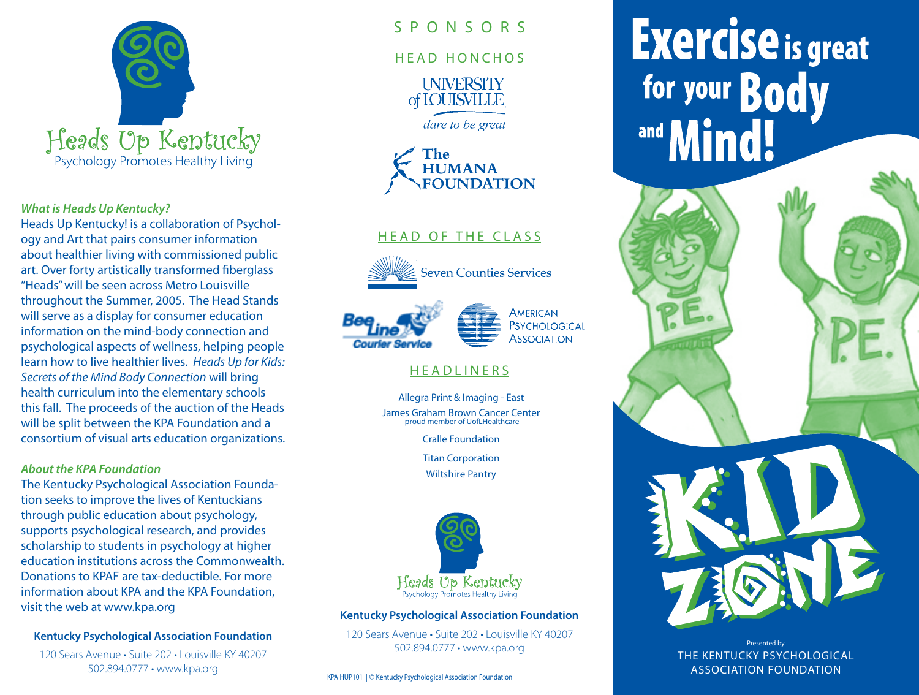

#### *What is Heads Up Kentucky?*

Heads Up Kentucky! is a collaboration of Psychology and Art that pairs consumer information about healthier living with commissioned public art. Over forty artistically transformed fiberglass "Heads" will be seen across Metro Louisville throughout the Summer, 2005. The Head Stands will serve as a display for consumer education information on the mind-body connection and psychological aspects of wellness, helping people learn how to live healthier lives. *Heads Up for Kids: Secrets of the Mind Body Connection* will bring health curriculum into the elementary schools this fall. The proceeds of the auction of the Heads will be split between the KPA Foundation and a consortium of visual arts education organizations.

#### *About the KPA Foundation*

The Kentucky Psychological Association Foundation seeks to improve the lives of Kentuckians through public education about psychology, supports psychological research, and provides scholarship to students in psychology at higher education institutions across the Commonwealth. Donations to KPAF are tax-deductible. For more information about KPA and the KPA Foundation, visit the web at www.kpa.org

#### **Kentucky Psychological Association Foundation**

120 Sears Avenue • Suite 202 • Louisville KY 40207 502.894.0777 • www.kpa.org

#### S P O N S O R S

#### HEAD HONCHOS

**UNIVERSITY** of **IOUISVILLE** 

dare to be great



#### HEAD OF THE CLASS



**Seven Counties Services** 





#### **HEADLINERS**

Allegra Print & Imaging - East James Graham Brown Cancer Center proud member of UofLHealthcare

Cralle Foundation

Titan Corporation

Wiltshire Pantry



#### **Kentucky Psychological Association Foundation**

120 Sears Avenue • Suite 202 • Louisville KY 40207 502.894.0777 • www.kpa.org

KPA HUP101 | © Kentucky Psychological Association Foundation

# **Exercise** is great for your Body



Presented by THE KENTUCKY PSYCHOLOGICAL ASSOCIATION FOUNDATION